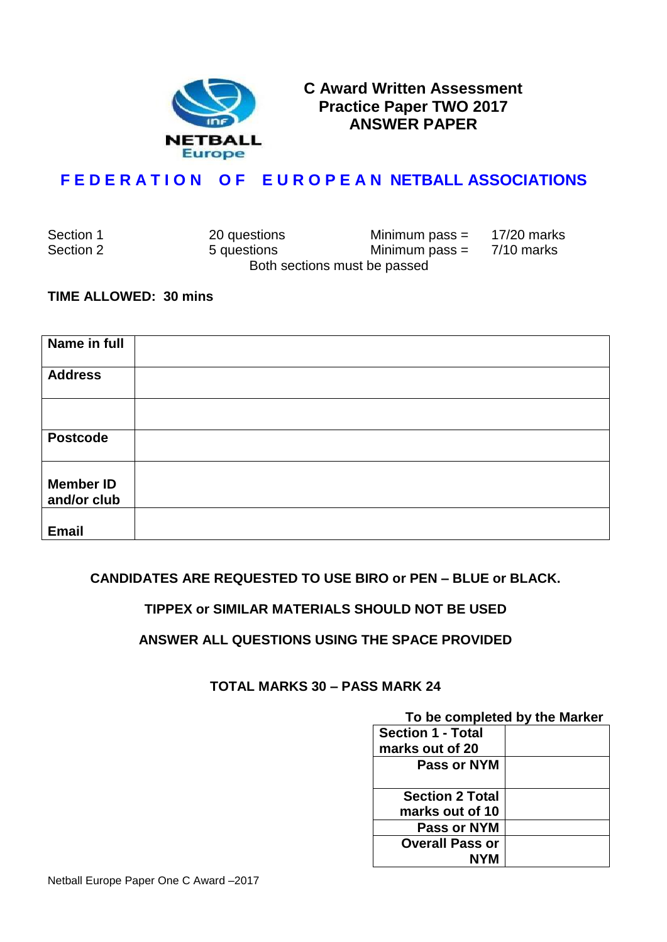

**C Award Written Assessment Practice Paper TWO 2017 ANSWER PAPER**

## **F E D E R A T I O N O F E U R O P E A N NETBALL ASSOCIATIONS**

| Section 1 | 20 questions                 | Minimum pass $=$ | 17/20 marks |
|-----------|------------------------------|------------------|-------------|
| Section 2 | 5 questions                  | Minimum pass $=$ | 7/10 marks  |
|           | Both sections must be passed |                  |             |

#### **TIME ALLOWED: 30 mins**

| Name in full                    |  |
|---------------------------------|--|
| <b>Address</b>                  |  |
|                                 |  |
| <b>Postcode</b>                 |  |
| <b>Member ID</b><br>and/or club |  |
| <b>Email</b>                    |  |

### **CANDIDATES ARE REQUESTED TO USE BIRO or PEN – BLUE or BLACK.**

### **TIPPEX or SIMILAR MATERIALS SHOULD NOT BE USED**

### **ANSWER ALL QUESTIONS USING THE SPACE PROVIDED**

### **TOTAL MARKS 30 – PASS MARK 24**

# **To be completed by the Marker**

| <b>Section 1 - Total</b> |  |
|--------------------------|--|
| marks out of 20          |  |
| Pass or NYM              |  |
| <b>Section 2 Total</b>   |  |
| marks out of 10          |  |
| Pass or NYM              |  |
| <b>Overall Pass or</b>   |  |
| NYM                      |  |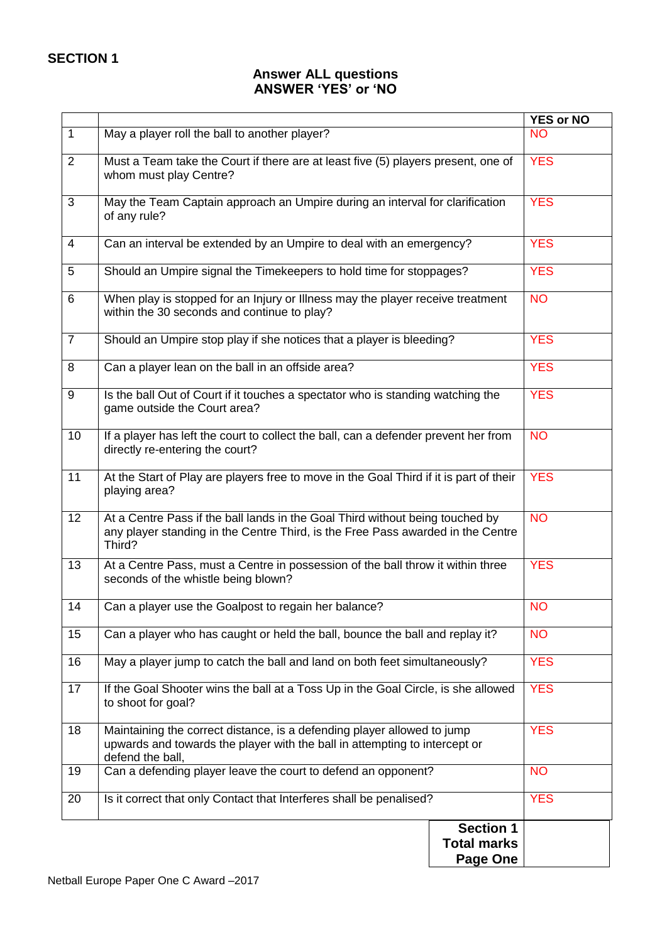### **Answer ALL questions ANSWER 'YES' or 'NO**

|                |                                                                                                                                                                            |                    | <b>YES or NO</b> |
|----------------|----------------------------------------------------------------------------------------------------------------------------------------------------------------------------|--------------------|------------------|
| $\mathbf{1}$   | May a player roll the ball to another player?                                                                                                                              |                    | <b>NO</b>        |
| $\overline{2}$ | Must a Team take the Court if there are at least five (5) players present, one of<br>whom must play Centre?                                                                |                    | <b>YES</b>       |
| 3              | May the Team Captain approach an Umpire during an interval for clarification<br>of any rule?                                                                               |                    | <b>YES</b>       |
| $\overline{4}$ | Can an interval be extended by an Umpire to deal with an emergency?                                                                                                        |                    | <b>YES</b>       |
| 5              | Should an Umpire signal the Timekeepers to hold time for stoppages?                                                                                                        |                    | <b>YES</b>       |
| 6              | When play is stopped for an Injury or Illness may the player receive treatment<br>within the 30 seconds and continue to play?                                              |                    | <b>NO</b>        |
| $\overline{7}$ | Should an Umpire stop play if she notices that a player is bleeding?                                                                                                       |                    | <b>YES</b>       |
| 8              | Can a player lean on the ball in an offside area?                                                                                                                          |                    | <b>YES</b>       |
| 9              | Is the ball Out of Court if it touches a spectator who is standing watching the<br>game outside the Court area?                                                            |                    | <b>YES</b>       |
| 10             | If a player has left the court to collect the ball, can a defender prevent her from<br>directly re-entering the court?                                                     |                    | <b>NO</b>        |
| 11             | At the Start of Play are players free to move in the Goal Third if it is part of their<br>playing area?                                                                    |                    | <b>YES</b>       |
| 12             | At a Centre Pass if the ball lands in the Goal Third without being touched by<br>any player standing in the Centre Third, is the Free Pass awarded in the Centre<br>Third? |                    | <b>NO</b>        |
| 13             | At a Centre Pass, must a Centre in possession of the ball throw it within three<br>seconds of the whistle being blown?                                                     |                    | <b>YES</b>       |
| 14             | Can a player use the Goalpost to regain her balance?                                                                                                                       |                    | <b>NO</b>        |
| 15             | Can a player who has caught or held the ball, bounce the ball and replay it?                                                                                               |                    | <b>NO</b>        |
| 16             | May a player jump to catch the ball and land on both feet simultaneously?                                                                                                  |                    | <b>YES</b>       |
| 17             | If the Goal Shooter wins the ball at a Toss Up in the Goal Circle, is she allowed<br>to shoot for goal?                                                                    |                    | <b>YES</b>       |
| 18             | Maintaining the correct distance, is a defending player allowed to jump<br>upwards and towards the player with the ball in attempting to intercept or<br>defend the ball,  |                    | <b>YES</b>       |
| 19             | Can a defending player leave the court to defend an opponent?                                                                                                              |                    | <b>NO</b>        |
| 20             | Is it correct that only Contact that Interferes shall be penalised?                                                                                                        |                    | <b>YES</b>       |
|                |                                                                                                                                                                            | <b>Section 1</b>   |                  |
|                |                                                                                                                                                                            | <b>Total marks</b> |                  |
|                |                                                                                                                                                                            |                    |                  |
|                |                                                                                                                                                                            | Page One           |                  |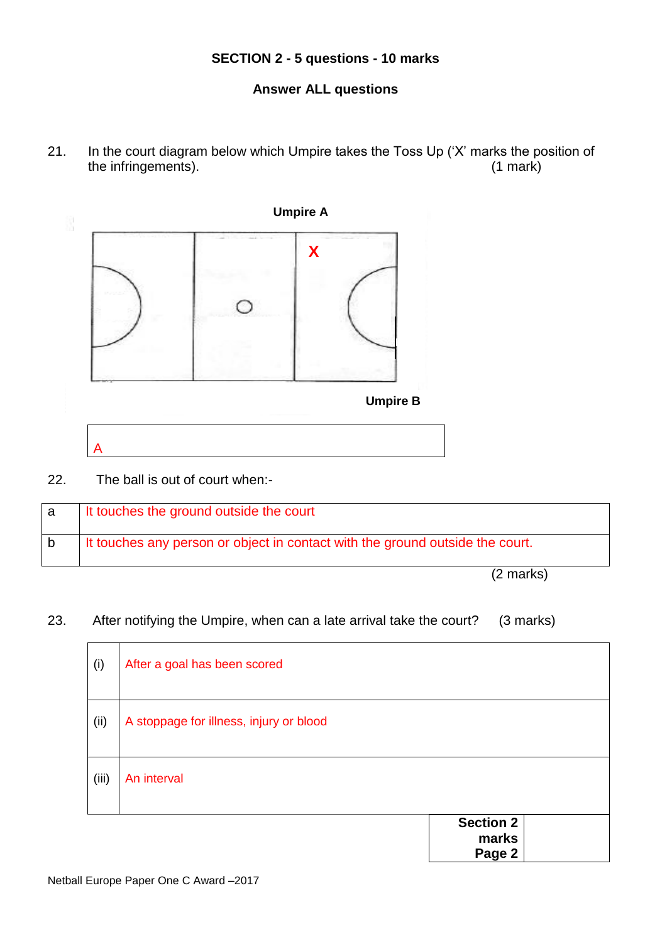## **SECTION 2 - 5 questions - 10 marks**

### **Answer ALL questions**

21. In the court diagram below which Umpire takes the Toss Up ('X' marks the position of the infringements). the infringements).



22. The ball is out of court when:-

| It touches the ground outside the court                                       |
|-------------------------------------------------------------------------------|
| It touches any person or object in contact with the ground outside the court. |

(2 marks)

### 23. After notifying the Umpire, when can a late arrival take the court? (3 marks)

| (i)   | After a goal has been scored            |                                     |
|-------|-----------------------------------------|-------------------------------------|
| (ii)  | A stoppage for illness, injury or blood |                                     |
| (iii) | An interval                             |                                     |
|       |                                         | <b>Section 2</b><br>marks<br>Page 2 |